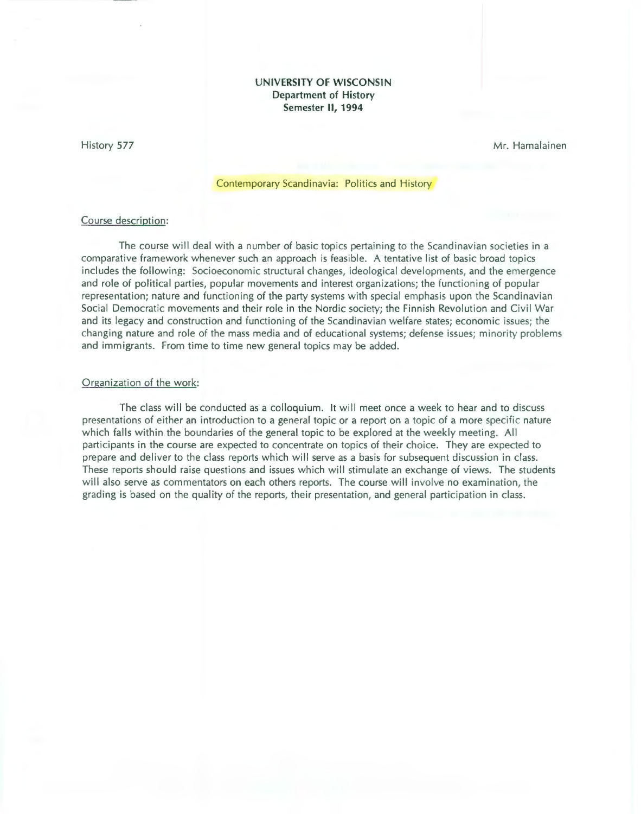### **UNIVERSITY OF WISCONSIN Department of History Semester II, 1994**

### History 577

Mr. Hamalainen

# Contemporary Scandinavia: Politics and History

## Course description:

The course will deal with a number of basic topics pertaining to the Scandinavian societies in a comparative framework whenever such an approach is feasible. A tentative list of basic broad topics includes the following: Socioeconomic structural changes, ideological developments, and the emergence and role of political parties, popular movements and interest organizations; the functioning of popular representation; nature and functioning of the party systems with special emphasis upon the Scandinavian Social Democratic movements and their role in the Nordic society; the Finnish Revolution and Civil War and its legacy and construction and functioning of the Scandinavian welfare states; economic issues; the changing nature and role of the mass media and of educational systems; defense issues; minority problems and immigrants. From time to time new general topics may be added.

#### Organization of the work:

The class will be conducted as a colloquium. It will meet once a week to hear and to discuss presentations of either an introduction to a general topic or a report on a topic of a more specific nature which falls within the boundaries of the general topic to be explored at the weekly meeting. All participants in the course are expected to concentrate on topics of their choice. They are expected to prepare and deliver to the class reports which will serve as a basis for subsequent discussion in class. These reports should raise questions and issues which will stimulate an exchange of views. The students will also serve as commentators on each others reports. The course will involve no examination, the grading is based on the quality of the reports, their presentation, and general participation in class.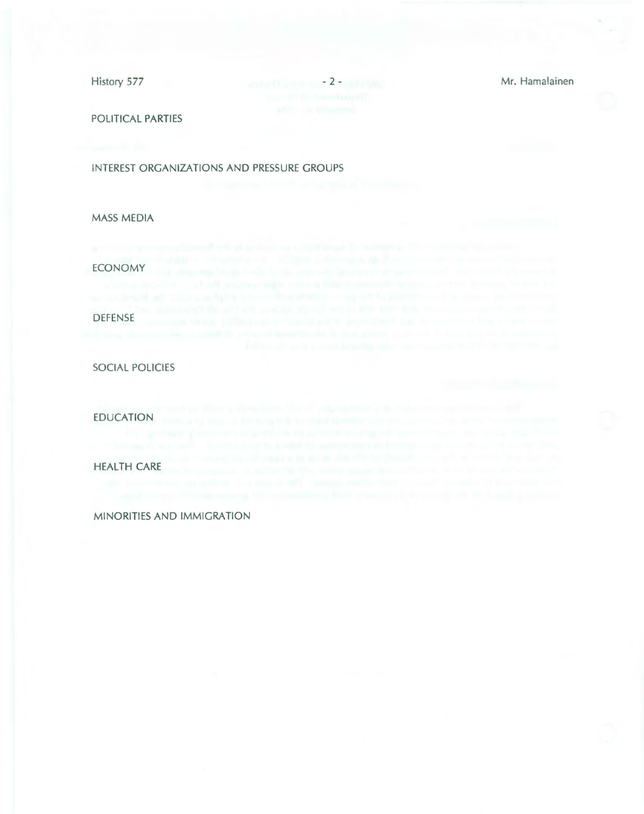History 577 - 2 - Mr. Hamalainen

POLITICAL PARTIES

INTEREST ORGANIZATIONS AND PRESSURE GROUPS

MASS MEDIA

ECONOMY DEFENSE

SOCIAL POLICIES

EDUCATION

**HEALTH** CARE

MINORITIES AND IMMIGRATION